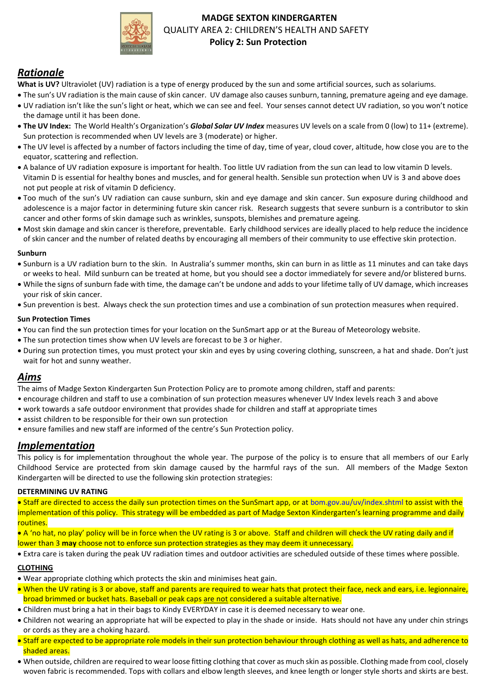

## **MADGE SEXTON KINDERGARTEN** QUALITY AREA 2: CHILDREN'S HEALTH AND SAFETY  **Policy 2: Sun Protection**

# *Rationale*

- **What is UV?** Ultraviolet (UV) radiation is a type of energy produced by the sun and some artificial sources, such as solariums.
- The sun's UV radiation is the main cause of skin cancer. UV damage also causes sunburn, tanning, premature ageing and eye damage.
- UV radiation isn't like the sun's light or heat, which we can see and feel. Your senses cannot detect UV radiation, so you won't notice the damage until it has been done.
- **The UV Index:** The World Health's Organization's *Global Solar UV Index* measures UV levels on a scale from 0 (low) to 11+ (extreme). Sun protection is recommended when UV levels are 3 (moderate) or higher.
- The UV level is affected by a number of factors including the time of day, time of year, cloud cover, altitude, how close you are to the equator, scattering and reflection.
- A balance of UV radiation exposure is important for health. Too little UV radiation from the sun can lead to low vitamin D levels. Vitamin D is essential for healthy bones and muscles, and for general health. Sensible sun protection when UV is 3 and above does not put people at risk of vitamin D deficiency.
- Too much of the sun's UV radiation can cause sunburn, skin and eye damage and skin cancer. Sun exposure during childhood and adolescence is a major factor in determining future skin cancer risk. Research suggests that severe sunburn is a contributor to skin cancer and other forms of skin damage such as wrinkles, sunspots, blemishes and premature ageing.
- Most skin damage and skin cancer is therefore, preventable. Early childhood services are ideally placed to help reduce the incidence of skin cancer and the number of related deaths by encouraging all members of their community to use effective skin protection.

## **Sunburn**

- Sunburn is a UV radiation burn to the skin. In Australia's summer months, skin can burn in as little as 11 minutes and can take days or weeks to heal. Mild sunburn can be treated at home, but you should see a doctor immediately for severe and/or blistered burns.
- While the signs of sunburn fade with time, the damage can't be undone and adds to your lifetime tally of UV damage, which increases your risk of skin cancer.
- Sun prevention is best. Always check the sun protection times and use a combination of sun protection measures when required.

## **Sun Protection Times**

- You can find the sun protection times for your location on the SunSmart app or at the Bureau of Meteorology website.
- The sun protection times show when UV levels are forecast to be 3 or higher.
- During sun protection times, you must protect your skin and eyes by using covering clothing, sunscreen, a hat and shade. Don't just wait for hot and sunny weather.

## *Aims*

- The aims of Madge Sexton Kindergarten Sun Protection Policy are to promote among children, staff and parents:
- encourage children and staff to use a combination of sun protection measures whenever UV Index levels reach 3 and above
- work towards a safe outdoor environment that provides shade for children and staff at appropriate times
- assist children to be responsible for their own sun protection
- ensure families and new staff are informed of the centre's Sun Protection policy.

## *Implementation*

This policy is for implementation throughout the whole year. The purpose of the policy is to ensure that all members of our Early Childhood Service are protected from skin damage caused by the harmful rays of the sun. All members of the Madge Sexton Kindergarten will be directed to use the following skin protection strategies:

## **DETERMINING UV RATING**

 Staff are directed to access the daily sun protection times on the SunSmart app, or at bom.gov.au/uv/index.shtml to assist with the implementation of this policy. This strategy will be embedded as part of Madge Sexton Kindergarten's learning programme and daily routines.

 A 'no hat, no play' policy will be in force when the UV rating is 3 or above. Staff and children will check the UV rating daily and if lower than 3 **may** choose not to enforce sun protection strategies as they may deem it unnecessary.

Extra care is taken during the peak UV radiation times and outdoor activities are scheduled outside of these times where possible.

## **CLOTHING**

- Wear appropriate clothing which protects the skin and minimises heat gain.
- When the UV rating is 3 or above, staff and parents are required to wear hats that protect their face, neck and ears, i.e. legionnaire, broad brimmed or bucket hats. Baseball or peak caps are not considered a suitable alternative.
- Children must bring a hat in their bags to Kindy EVERYDAY in case it is deemed necessary to wear one.
- Children not wearing an appropriate hat will be expected to play in the shade or inside. Hats should not have any under chin strings or cords as they are a choking hazard.
- Staff are expected to be appropriate role models in their sun protection behaviour through clothing as well as hats, and adherence to shaded areas.
- When outside, children are required to wear loose fitting clothing that cover as much skin as possible. Clothing made from cool, closely woven fabric is recommended. Tops with collars and elbow length sleeves, and knee length or longer style shorts and skirts are best.